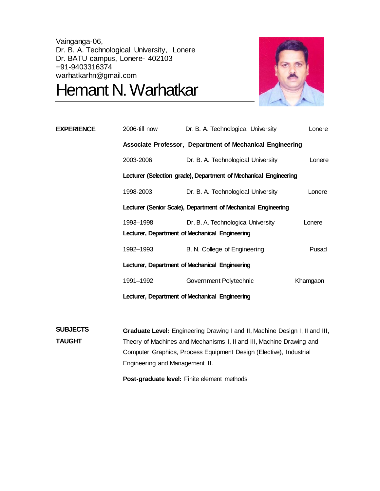Vainganga-06, Dr. B. A. Technological University, Lonere Dr. BATU campus, Lonere- 402103 +91-9403316374 warhatkarhn@gmail.com

Hemant N. Warhatkar



| <b>EXPERIENCE</b> | 2006-till now                                  | Dr. B. A. Technological University                               | Lonere   |
|-------------------|------------------------------------------------|------------------------------------------------------------------|----------|
|                   |                                                | Associate Professor, Department of Mechanical Engineering        |          |
|                   | 2003-2006                                      | Dr. B. A. Technological University                               | Lonere   |
|                   |                                                | Lecturer (Selection grade), Department of Mechanical Engineering |          |
|                   | 1998-2003                                      | Dr. B. A. Technological University                               | Lonere   |
|                   |                                                | Lecturer (Senior Scale), Department of Mechanical Engineering    |          |
|                   | 1993–1998                                      | Dr. B. A. Technological University                               | Lonere   |
|                   |                                                | Lecturer, Department of Mechanical Engineering                   |          |
|                   | 1992–1993                                      | B. N. College of Engineering                                     | Pusad    |
|                   | Lecturer, Department of Mechanical Engineering |                                                                  |          |
|                   | 1991–1992                                      | Government Polytechnic                                           | Khamgaon |
|                   | Lecturer, Department of Mechanical Engineering |                                                                  |          |
|                   |                                                |                                                                  |          |

**SUBJECTS TAUGHT Graduate Level:** Engineering Drawing I and II, Machine Design I, II and III, Theory of Machines and Mechanisms I, II and III, Machine Drawing and Computer Graphics, Process Equipment Design (Elective), Industrial Engineering and Management II.

**Post-graduate level:** Finite element methods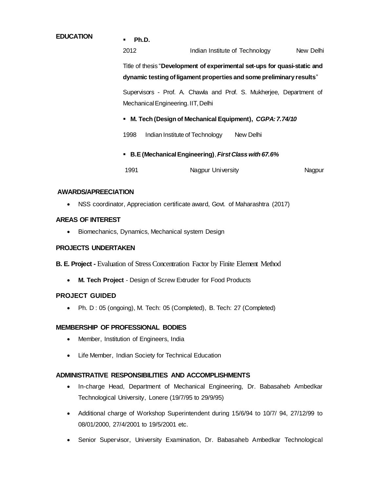# **EDUCATION Ph.D.** 2012 **Indian Institute of Technology** New Delhi Title of thesis "**Development of experimental set-ups for quasi-static and dynamic testing of ligament properties and some preliminary results**" Supervisors - Prof. A. Chawla and Prof. S. Mukherjee, Department of Mechanical Engineering.IIT, Delhi **M. Tech (Design of Mechanical Equipment),** *CGPA: 7.74/10* 1998 Indian Institute of Technology New Delhi **B.E (Mechanical Engineering)**, *First Class with 67.6%*

1991 **Nagpur University** Nagpur University

### **AWARDS/APREECIATION**

NSS coordinator, Appreciation certificate award, Govt. of Maharashtra (2017)

#### **AREAS OF INTEREST**

• Biomechanics, Dynamics, Mechanical system Design

#### **PROJECTS UNDERTAKEN**

**B. E. Project -** Evaluation of Stress Concentration Factor by Finite Element Method

**M. Tech Project** - Design of Screw Extruder for Food Products

#### **PROJECT GUIDED**

• Ph. D : 05 (ongoing), M. Tech: 05 (Completed), B. Tech: 27 (Completed)

#### **MEMBERSHIP OF PROFESSIONAL BODIES**

- Member, Institution of Engineers, India
- Life Member, Indian Society for Technical Education

#### **ADMINISTRATIVE RESPONSIBILITIES AND ACCOMPLISHMENTS**

- In-charge Head, Department of Mechanical Engineering, Dr. Babasaheb Ambedkar Technological University, Lonere (19/7/95 to 29/9/95)
- Additional charge of Workshop Superintendent during 15/6/94 to 10/7/ 94, 27/12/99 to 08/01/2000, 27/4/2001 to 19/5/2001 etc.
- Senior Supervisor, University Examination, Dr. Babasaheb Ambedkar Technological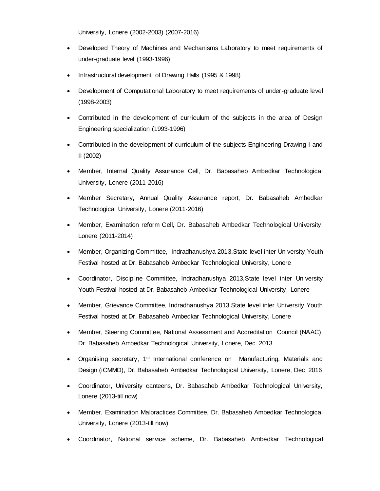University, Lonere (2002-2003) (2007-2016)

- Developed Theory of Machines and Mechanisms Laboratory to meet requirements of under-graduate level (1993-1996)
- Infrastructural development of Drawing Halls (1995 & 1998)
- Development of Computational Laboratory to meet requirements of under-graduate level (1998-2003)
- Contributed in the development of curriculum of the subjects in the area of Design Engineering specialization (1993-1996)
- Contributed in the development of curriculum of the subjects Engineering Drawing I and II (2002)
- Member, Internal Quality Assurance Cell, Dr. Babasaheb Ambedkar Technological University, Lonere (2011-2016)
- Member Secretary, Annual Quality Assurance report, Dr. Babasaheb Ambedkar Technological University, Lonere (2011-2016)
- Member, Examination reform Cell, Dr. Babasaheb Ambedkar Technological University, Lonere (2011-2014)
- Member, Organizing Committee, Indradhanushya 2013,State level inter University Youth Festival hosted at Dr. Babasaheb Ambedkar Technological University, Lonere
- Coordinator, Discipline Committee, Indradhanushya 2013,State level inter University Youth Festival hosted at Dr. Babasaheb Ambedkar Technological University, Lonere
- Member, Grievance Committee, Indradhanushya 2013,State level inter University Youth Festival hosted at Dr. Babasaheb Ambedkar Technological University, Lonere
- Member, Steering Committee, National Assessment and Accreditation Council (NAAC), Dr. Babasaheb Ambedkar Technological University, Lonere, Dec. 2013
- Organising secretary, 1<sup>st</sup> International conference on Manufacturing, Materials and Design (iCMMD), Dr. Babasaheb Ambedkar Technological University, Lonere, Dec. 2016
- Coordinator, University canteens, Dr. Babasaheb Ambedkar Technological University, Lonere (2013-till now)
- Member, Examination Malpractices Committee, Dr. Babasaheb Ambedkar Technological University, Lonere (2013-till now)
- Coordinator, National service scheme, Dr. Babasaheb Ambedkar Technological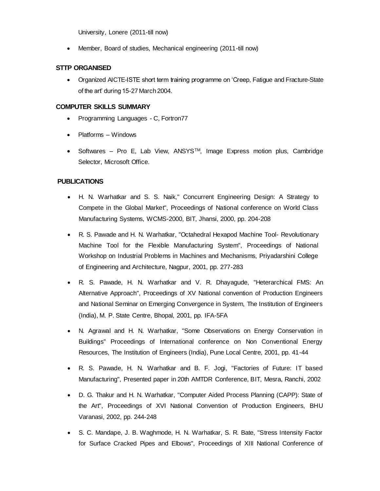University, Lonere (2011-till now)

Member, Board of studies, Mechanical engineering (2011-till now)

#### **STTP ORGANISED**

 Organized AICTE-ISTE short term training programme on 'Creep, Fatigue and Fracture-State of the art' during 15-27 March 2004.

#### **COMPUTER SKILLS SUMMARY**

- Programming Languages C, Fortron77
- Platforms Windows
- $\bullet$  Softwares Pro E, Lab View, ANSYS<sup>TM</sup>, Image Express motion plus, Cambridge Selector, Microsoft Office.

#### **PUBLICATIONS**

- H. N. Warhatkar and S. S. Naik," Concurrent Engineering Design: A Strategy to Compete in the Global Market", Proceedings of National conference on World Class Manufacturing Systems, WCMS-2000, BIT, Jhansi, 2000, pp. 204-208
- R. S. Pawade and H. N. Warhatkar, "Octahedral Hexapod Machine Tool- Revolutionary Machine Tool for the Flexible Manufacturing System", Proceedings of National Workshop on Industrial Problems in Machines and Mechanisms, Priyadarshini College of Engineering and Architecture, Nagpur, 2001, pp. 277-283
- R. S. Pawade, H. N. Warhatkar and V. R. Dhayagude, "Heterarchical FMS: An Alternative Approach", Proceedings of XV National convention of Production Engineers and National Seminar on Emerging Convergence in System, The Institution of Engineers (India), M. P. State Centre, Bhopal, 2001, pp. IFA-5FA
- N. Agrawal and H. N. Warhatkar, "Some Observations on Energy Conservation in Buildings" Proceedings of International conference on Non Conventional Energy Resources, The Institution of Engineers (India), Pune Local Centre, 2001, pp. 41-44
- R. S. Pawade, H. N. Warhatkar and B. F. Jogi, "Factories of Future: IT based Manufacturing", Presented paper in 20th AMTDR Conference, BIT, Mesra, Ranchi, 2002
- D. G. Thakur and H. N. Warhatkar, "Computer Aided Process Planning (CAPP): State of the Art", Proceedings of XVI National Convention of Production Engineers, BHU Varanasi, 2002, pp. 244-248
- S. C. Mandape, J. B. Waghmode, H. N. Warhatkar, S. R. Bate, "Stress Intensity Factor for Surface Cracked Pipes and Elbows", Proceedings of XIII National Conference of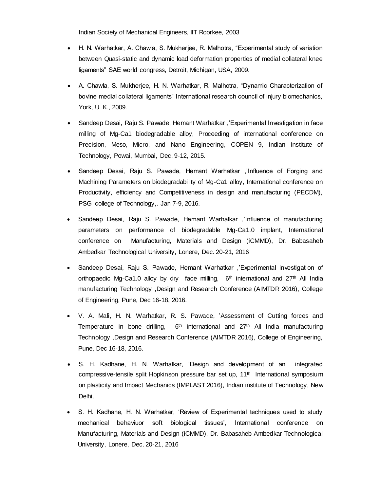Indian Society of Mechanical Engineers, lIT Roorkee, 2003

- H. N. Warhatkar, A. Chawla, S. Mukherjee, R. Malhotra, "Experimental study of variation between Quasi-static and dynamic load deformation properties of medial collateral knee ligaments" SAE world congress, Detroit, Michigan, USA, 2009.
- A. Chawla, S. Mukherjee, H. N. Warhatkar, R. Malhotra, "Dynamic Characterization of bovine medial collateral ligaments" International research council of injury biomechanics, York, U. K., 2009.
- Sandeep Desai, Raju S. Pawade, Hemant Warhatkar ,'Experimental Investigation in face milling of Mg-Ca1 biodegradable alloy, Proceeding of international conference on Precision, Meso, Micro, and Nano Engineering, COPEN 9, Indian Institute of Technology, Powai, Mumbai, Dec. 9-12, 2015.
- Sandeep Desai, Raju S. Pawade, Hemant Warhatkar ,'Influence of Forging and Machining Parameters on biodegradability of Mg-Ca1 alloy, International conference on Productivity, efficiency and Competitiveness in design and manufacturing (PECDM), PSG college of Technology,. Jan 7-9, 2016.
- Sandeep Desai, Raju S. Pawade, Hemant Warhatkar ,'Influence of manufacturing parameters on performance of biodegradable Mg-Ca1.0 implant, International conference on Manufacturing, Materials and Design (iCMMD), Dr. Babasaheb Ambedkar Technological University, Lonere, Dec. 20-21, 2016
- Sandeep Desai, Raju S. Pawade, Hemant Warhatkar ,'Experimental investigation of orthopaedic Mg-Ca1.0 alloy by dry face milling,  $6<sup>th</sup>$  international and  $27<sup>th</sup>$  All India manufacturing Technology ,Design and Research Conference (AIMTDR 2016), College of Engineering, Pune, Dec 16-18, 2016.
- V. A. Mali, H. N. Warhatkar, R. S. Pawade, 'Assessment of Cutting forces and Temperature in bone drilling,  $6<sup>th</sup>$  international and  $27<sup>th</sup>$  All India manufacturing Technology ,Design and Research Conference (AIMTDR 2016), College of Engineering, Pune, Dec 16-18, 2016.
- S. H. Kadhane, H. N. Warhatkar, 'Design and development of an integrated compressive-tensile split Hopkinson pressure bar set up, 11<sup>th</sup> International symposium on plasticity and Impact Mechanics (IMPLAST 2016), Indian institute of Technology, New Delhi.
- S. H. Kadhane, H. N. Warhatkar, 'Review of Experimental techniques used to study mechanical behaviuor soft biological tissues', International conference on Manufacturing, Materials and Design (iCMMD), Dr. Babasaheb Ambedkar Technological University, Lonere, Dec. 20-21, 2016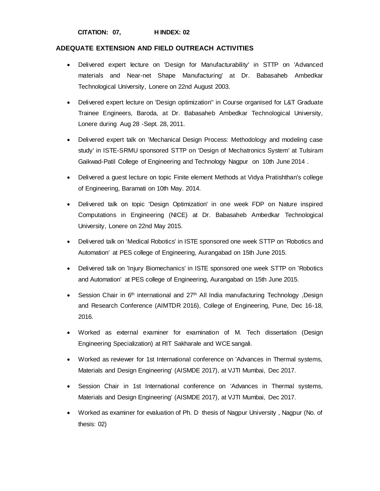# **ADEQUATE EXTENSION AND FIELD OUTREACH ACTIVITIES**

- Delivered expert lecture on 'Design for Manufacturability' in STTP on 'Advanced materials and Near-net Shape Manufacturing' at Dr. Babasaheb Ambedkar Technological University, Lonere on 22nd August 2003.
- Delivered expert lecture on 'Design optimization'' in Course organised for L&T Graduate Trainee Engineers, Baroda, at Dr. Babasaheb Ambedkar Technological University, Lonere during Aug 28 -Sept. 28, 2011.
- Delivered expert talk on 'Mechanical Design Process: Methodology and modeling case study' in ISTE-SRMU sponsored STTP on 'Design of Mechatronics System' at Tulsiram Gaikwad-Patil College of Engineering and Technology Nagpur on 10th June 2014 .
- Delivered a guest lecture on topic Finite element Methods at Vidya Pratishthan's college of Engineering, Baramati on 10th May. 2014.
- Delivered talk on topic 'Design Optimization' in one week FDP on Nature inspired Computations in Engineering (NICE) at Dr. Babasaheb Ambedkar Technological University, Lonere on 22nd May 2015.
- Delivered talk on 'Medical Robotics' in ISTE sponsored one week STTP on 'Robotics and Automation' at PES college of Engineering, Aurangabad on 15th June 2015.
- Delivered talk on 'Injury Biomechanics' in ISTE sponsored one week STTP on 'Robotics and Automation' at PES college of Engineering, Aurangabad on 15th June 2015.
- Session Chair in  $6<sup>th</sup>$  international and  $27<sup>th</sup>$  All India manufacturing Technology ,Design and Research Conference (AIMTDR 2016), College of Engineering, Pune, Dec 16-18, 2016.
- Worked as external examiner for examination of M. Tech dissertation (Design Engineering Specialization) at RIT Sakharale and WCE sangali.
- Worked as reviewer for 1st International conference on 'Advances in Thermal systems, Materials and Design Engineering' (AISMDE 2017), at VJTI Mumbai, Dec 2017.
- Session Chair in 1st International conference on 'Advances in Thermal systems, Materials and Design Engineering' (AISMDE 2017), at VJTI Mumbai, Dec 2017.
- Worked as examiner for evaluation of Ph. D thesis of Nagpur University , Nagpur (No. of thesis: 02)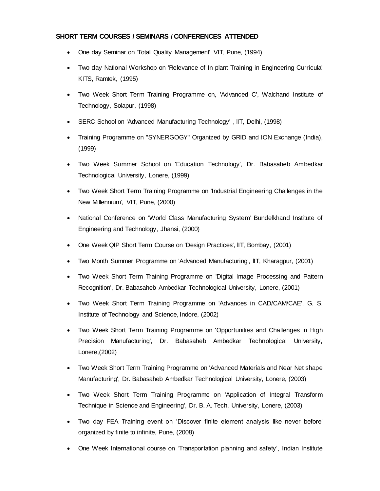## **SHORT TERM COURSES / SEMINARS / CONFERENCES ATTENDED**

- One day Seminar on 'Total Quality Management' VIT, Pune, (1994)
- Two day National Workshop on 'Relevance of In plant Training in Engineering Curricula' KITS, Ramtek, (1995)
- Two Week Short Term Training Programme on, 'Advanced C', Walchand Institute of Technology, Solapur, (1998)
- SERC School on 'Advanced Manufacturing Technology' , lIT, Delhi, (1998)
- Training Programme on "SYNERGOGY" Organized by GRID and ION Exchange (India), (1999)
- Two Week Summer School on 'Education Technology', Dr. Babasaheb Ambedkar Technological University, Lonere, (1999)
- Two Week Short Term Training Programme on 'Industrial Engineering Challenges in the New Millennium', VIT, Pune, (2000)
- National Conference on 'World Class Manufacturing System' Bundelkhand Institute of Engineering and Technology, Jhansi, (2000)
- One Week QIP Short Term Course on 'Design Practices', lIT, Bombay, (2001)
- Two Month Summer Programme on 'Advanced Manufacturing', lIT, Kharagpur, (2001)
- Two Week Short Term Training Programme on 'Digital Image Processing and Pattern Recognition', Dr. Babasaheb Ambedkar Technological University, Lonere, (2001)
- Two Week Short Term Training Programme on 'Advances in CAD/CAM/CAE', G. S. Institute of Technology and Science, Indore, (2002)
- Two Week Short Term Training Programme on 'Opportunities and Challenges in High Precision Manufacturing', Dr. Babasaheb Ambedkar Technological University, Lonere,(2002)
- Two Week Short Term Training Programme on 'Advanced Materials and Near Net shape Manufacturing', Dr. Babasaheb Ambedkar Technological University, Lonere, (2003)
- Two Week Short Term Training Programme on 'Application of Integral Transform Technique in Science and Engineering', Dr. B. A. Tech. University, Lonere, (2003)
- Two day FEA Training event on 'Discover finite element analysis like never before' organized by finite to infinite, Pune, (2008)
- One Week International course on 'Transportation planning and safety', Indian Institute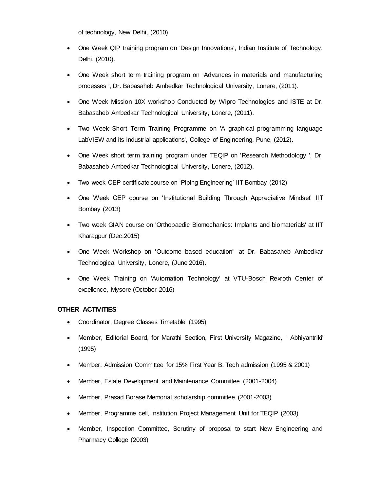of technology, New Delhi, (2010)

- One Week QIP training program on 'Design Innovations', Indian Institute of Technology, Delhi, (2010).
- One Week short term training program on 'Advances in materials and manufacturing processes ', Dr. Babasaheb Ambedkar Technological University, Lonere, (2011).
- One Week Mission 10X workshop Conducted by Wipro Technologies and ISTE at Dr. Babasaheb Ambedkar Technological University, Lonere, (2011).
- Two Week Short Term Training Programme on 'A graphical programming language LabVIEW and its industrial applications', College of Engineering, Pune, (2012).
- One Week short term training program under TEQIP on 'Research Methodology ', Dr. Babasaheb Ambedkar Technological University, Lonere, (2012).
- Two week CEP certificate course on 'Piping Engineering' IIT Bombay (2012)
- One Week CEP course on 'Institutional Building Through Appreciative Mindset' IIT Bombay (2013)
- Two week GIAN course on 'Orthopaedic Biomechanics: Implants and biomaterials' at IIT Kharagpur (Dec.2015)
- One Week Workshop on 'Outcome based education" at Dr. Babasaheb Ambedkar Technological University, Lonere, (June 2016).
- One Week Training on 'Automation Technology' at VTU-Bosch Rexroth Center of excellence, Mysore (October 2016)

#### **OTHER ACTIVITIES**

- Coordinator, Degree Classes Timetable (1995)
- Member, Editorial Board, for Marathi Section, First University Magazine, ' Abhiyantriki' (1995)
- Member, Admission Committee for 15% First Year B. Tech admission (1995 & 2001)
- Member, Estate Development and Maintenance Committee (2001-2004)
- Member, Prasad Borase Memorial scholarship committee (2001-2003)
- Member, Programme cell, Institution Project Management Unit for TEQIP (2003)
- Member, Inspection Committee, Scrutiny of proposal to start New Engineering and Pharmacy College (2003)